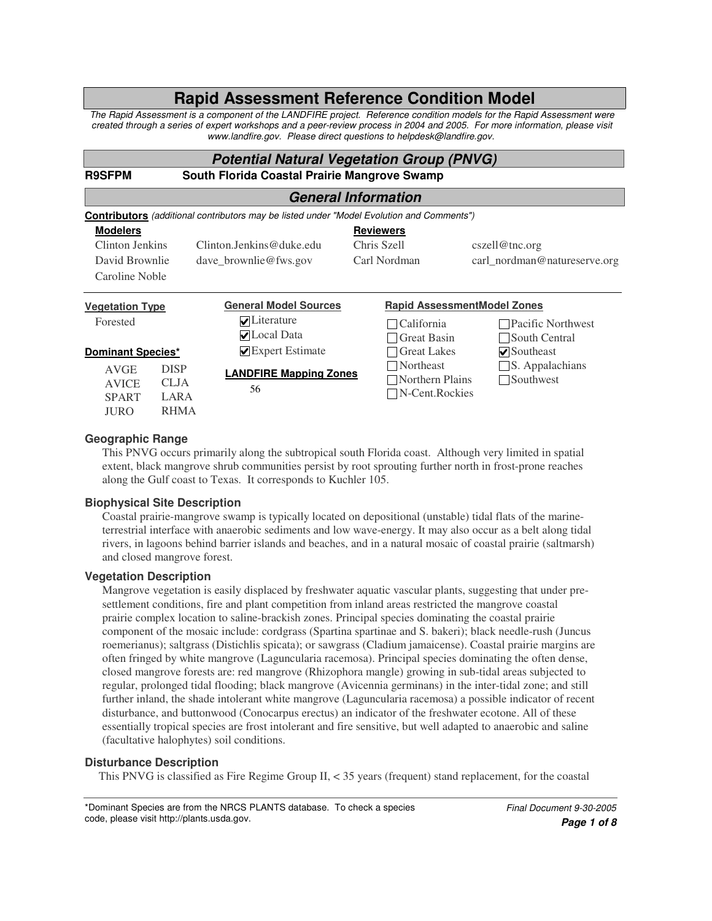# **Rapid Assessment Reference Condition Model**

The Rapid Assessment is a component of the LANDFIRE project. Reference condition models for the Rapid Assessment were created through a series of expert workshops and a peer-review process in 2004 and 2005. For more information, please visit *www.landfire.gov. Please direct questions to helpdesk@landfire.gov.*

# *Potential Natural Vegetation Group (PNVG)*

**R9SFPM South Florida Coastal Prairie Mangrove Swamp**

# *General Information*

| <b>Contributors</b> (additional contributors may be listed under "Model Evolution and Comments") |             |                                       |                  |                    |                                               |  |  |
|--------------------------------------------------------------------------------------------------|-------------|---------------------------------------|------------------|--------------------|-----------------------------------------------|--|--|
| <b>Modelers</b>                                                                                  |             |                                       | <b>Reviewers</b> |                    |                                               |  |  |
| Clinton Jenkins                                                                                  |             | $C$ linton Jenkins@duke.edu           | Chris Szell      |                    | cszel@inc.org<br>carl_nordman@natureserve.org |  |  |
| David Brownlie                                                                                   |             | dave brownlie@fws.gov                 | Carl Nordman     |                    |                                               |  |  |
| Caroline Noble                                                                                   |             |                                       |                  |                    |                                               |  |  |
| <b>Vegetation Type</b>                                                                           |             | <b>General Model Sources</b>          |                  |                    | <b>Rapid AssessmentModel Zones</b>            |  |  |
| Forested                                                                                         |             | $\nabla$ Literature                   |                  | California         | □ Pacific Northwest                           |  |  |
|                                                                                                  |             | $\nabla$ Local Data                   |                  | <b>Great Basin</b> | South Central                                 |  |  |
| <b>Dominant Species*</b>                                                                         |             | $\blacktriangleright$ Expert Estimate |                  | <b>Great Lakes</b> | $\nabla$ Southeast                            |  |  |
| <b>AVGE</b>                                                                                      | <b>DISP</b> | <b>LANDFIRE Mapping Zones</b>         |                  | <b>Northeast</b>   | $\Box$ S. Appalachians                        |  |  |
| <b>AVICE</b>                                                                                     | <b>CLJA</b> | 56                                    |                  | Northern Plains    | $\Box$ Southwest                              |  |  |
| <b>SPART</b>                                                                                     | LARA        |                                       |                  | N-Cent.Rockies     |                                               |  |  |
| <b>JURO</b>                                                                                      | <b>RHMA</b> |                                       |                  |                    |                                               |  |  |

# **Geographic Range**

This PNVG occurs primarily along the subtropical south Florida coast. Although very limited in spatial extent, black mangrove shrub communities persist by root sprouting further north in frost-prone reaches along the Gulf coast to Texas. It corresponds to Kuchler 105.

# **Biophysical Site Description**

Coastal prairie-mangrove swamp is typically located on depositional (unstable) tidal flats of the marineterrestrial interface with anaerobic sediments and low wave-energy. It may also occur as a belt along tidal rivers, in lagoons behind barrier islands and beaches, and in a natural mosaic of coastal prairie (saltmarsh) and closed mangrove forest.

# **Vegetation Description**

Mangrove vegetation is easily displaced by freshwater aquatic vascular plants, suggesting that under presettlement conditions, fire and plant competition from inland areas restricted the mangrove coastal prairie complex location to saline-brackish zones. Principal species dominating the coastal prairie component of the mosaic include: cordgrass (Spartina spartinae and S. bakeri); black needle-rush (Juncus roemerianus); saltgrass (Distichlis spicata); or sawgrass (Cladium jamaicense). Coastal prairie margins are often fringed by white mangrove (Laguncularia racemosa). Principal species dominating the often dense, closed mangrove forests are: red mangrove (Rhizophora mangle) growing in sub-tidal areas subjected to regular, prolonged tidal flooding; black mangrove (Avicennia germinans) in the inter-tidal zone; and still further inland, the shade intolerant white mangrove (Laguncularia racemosa) a possible indicator of recent disturbance, and buttonwood (Conocarpus erectus) an indicator of the freshwater ecotone. All of these essentially tropical species are frost intolerant and fire sensitive, but well adapted to anaerobic and saline (facultative halophytes) soil conditions.

# **Disturbance Description**

This PNVG is classified as Fire Regime Group II, < 35 years (frequent) stand replacement, for the coastal

\*Dominant Species are from the NRCS PLANTS database. To check a species code, please visit http://plants.usda.gov.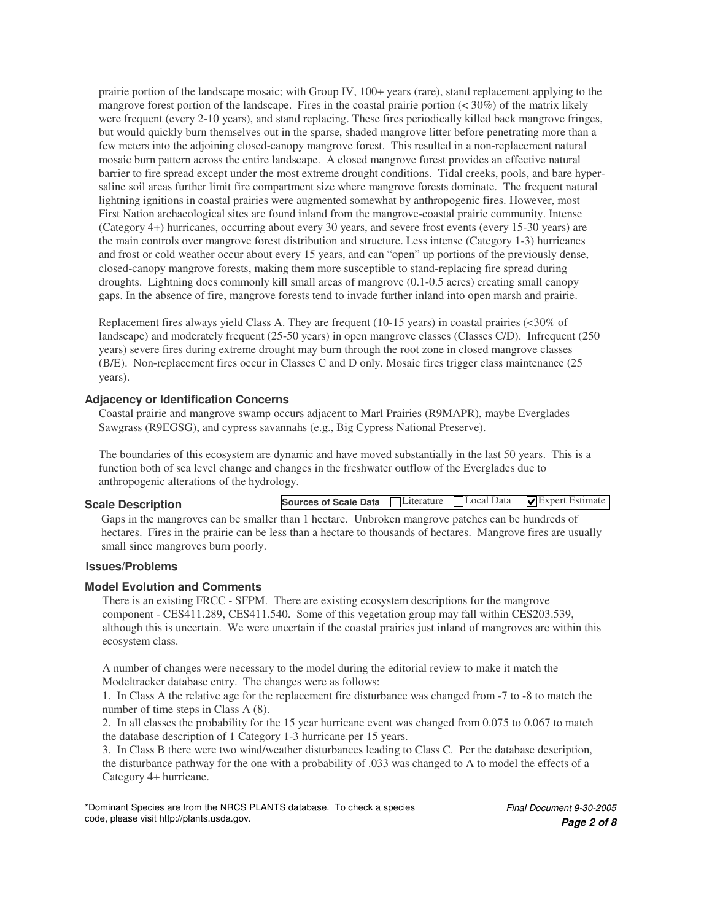prairie portion of the landscape mosaic; with Group IV, 100+ years (rare), stand replacement applying to the mangrove forest portion of the landscape. Fires in the coastal prairie portion  $( $30\%$ ) of the matrix likely$ were frequent (every 2-10 years), and stand replacing. These fires periodically killed back mangrove fringes, but would quickly burn themselves out in the sparse, shaded mangrove litter before penetrating more than a few meters into the adjoining closed-canopy mangrove forest. This resulted in a non-replacement natural mosaic burn pattern across the entire landscape. A closed mangrove forest provides an effective natural barrier to fire spread except under the most extreme drought conditions. Tidal creeks, pools, and bare hypersaline soil areas further limit fire compartment size where mangrove forests dominate. The frequent natural lightning ignitions in coastal prairies were augmented somewhat by anthropogenic fires. However, most First Nation archaeological sites are found inland from the mangrove-coastal prairie community. Intense (Category 4+) hurricanes, occurring about every 30 years, and severe frost events (every 15-30 years) are the main controls over mangrove forest distribution and structure. Less intense (Category 1-3) hurricanes and frost or cold weather occur about every 15 years, and can "open" up portions of the previously dense, closed-canopy mangrove forests, making them more susceptible to stand-replacing fire spread during droughts. Lightning does commonly kill small areas of mangrove (0.1-0.5 acres) creating small canopy gaps. In the absence of fire, mangrove forests tend to invade further inland into open marsh and prairie.

Replacement fires always yield Class A. They are frequent (10-15 years) in coastal prairies (<30% of landscape) and moderately frequent (25-50 years) in open mangrove classes (Classes C/D). Infrequent (250 years) severe fires during extreme drought may burn through the root zone in closed mangrove classes (B/E). Non-replacement fires occur in Classes C and D only. Mosaic fires trigger class maintenance (25 years).

# **Adjacency or Identification Concerns**

Coastal prairie and mangrove swamp occurs adjacent to Marl Prairies (R9MAPR), maybe Everglades Sawgrass (R9EGSG), and cypress savannahs (e.g., Big Cypress National Preserve).

The boundaries of this ecosystem are dynamic and have moved substantially in the last 50 years. This is a function both of sea level change and changes in the freshwater outflow of the Everglades due to anthropogenic alterations of the hydrology.

#### **Scale Description**

 $\Box$  Local Data  $\Box$  Expert Estimate **Sources of Scale Data**

Gaps in the mangroves can be smaller than 1 hectare. Unbroken mangrove patches can be hundreds of hectares. Fires in the prairie can be less than a hectare to thousands of hectares. Mangrove fires are usually small since mangroves burn poorly.

# **Issues/Problems**

#### **Model Evolution and Comments**

There is an existing FRCC - SFPM. There are existing ecosystem descriptions for the mangrove component - CES411.289, CES411.540. Some of this vegetation group may fall within CES203.539, although this is uncertain. We were uncertain if the coastal prairies just inland of mangroves are within this ecosystem class.

A number of changes were necessary to the model during the editorial review to make it match the Modeltracker database entry. The changes were as follows:

1. In Class A the relative age for the replacement fire disturbance was changed from -7 to -8 to match the number of time steps in Class A (8).

2. In all classes the probability for the 15 year hurricane event was changed from 0.075 to 0.067 to match the database description of 1 Category 1-3 hurricane per 15 years.

3. In Class B there were two wind/weather disturbances leading to Class C. Per the database description, the disturbance pathway for the one with a probability of .033 was changed to A to model the effects of a Category 4+ hurricane.

<sup>\*</sup>Dominant Species are from the NRCS PLANTS database. To check a species code, please visit http://plants.usda.gov.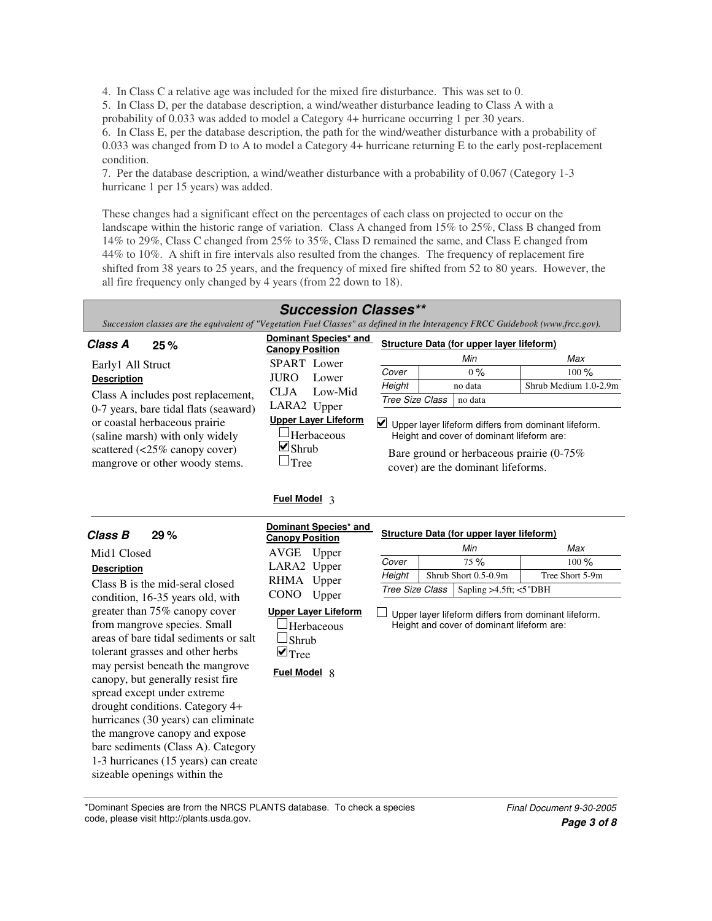4. In Class C a relative age was included for the mixed fire disturbance. This was set to 0.

5. In Class D, per the database description, a wind/weather disturbance leading to Class A with a probability of 0.033 was added to model a Category 4+ hurricane occurring 1 per 30 years.

6. In Class E, per the database description, the path for the wind/weather disturbance with a probability of 0.033 was changed from D to A to model a Category 4+ hurricane returning E to the early post-replacement condition.

7. Per the database description, a wind/weather disturbance with a probability of 0.067 (Category 1-3 hurricane 1 per 15 years) was added.

These changes had a significant effect on the percentages of each class on projected to occur on the landscape within the historic range of variation. Class A changed from 15% to 25%, Class B changed from 14% to 29%, Class C changed from 25% to 35%, Class D remained the same, and Class E changed from 44% to 10%. A shift in fire intervals also resulted from the changes. The frequency of replacement fire shifted from 38 years to 25 years, and the frequency of mixed fire shifted from 52 to 80 years. However, the all fire frequency only changed by 4 years (from 22 down to 18).

# *Succession Classes\*\**

Succession classes are the equivalent of "Vegetation Fuel Classes" as defined in the Interagency FRCC Guidebook (www.frcc.gov).

| Class A<br>25%                                                                           | Dominant Species* and<br><b>Canopy Position</b> | Structure Data (for upper layer lifeform)                                                                                                                                                |         |                       |  |  |
|------------------------------------------------------------------------------------------|-------------------------------------------------|------------------------------------------------------------------------------------------------------------------------------------------------------------------------------------------|---------|-----------------------|--|--|
| Early1 All Struct                                                                        | <b>SPART</b> Lower                              |                                                                                                                                                                                          | Min     | Max                   |  |  |
|                                                                                          | <b>JURO</b><br>Lower                            | Cover                                                                                                                                                                                    | $0\%$   | $100 \%$              |  |  |
| <b>Description</b>                                                                       |                                                 | Height                                                                                                                                                                                   | no data | Shrub Medium 1.0-2.9m |  |  |
| Class A includes post replacement,<br>0-7 years, bare tidal flats (seaward)              | Low-Mid<br><b>CLJA</b><br>LARA2 Upper           | Tree Size Class                                                                                                                                                                          | no data |                       |  |  |
| or coastal herbaceous prairie<br>(saline marsh) with only widely                         | <b>Upper Layer Lifeform</b><br>-Herbaceous      | Upper layer lifeform differs from dominant lifeform.<br>Height and cover of dominant lifeform are:<br>Bare ground or herbaceous prairie $(0-75\%)$<br>cover) are the dominant lifeforms. |         |                       |  |  |
| scattered $\left( < 25\% \text{ canopy cover} \right)$<br>mangrove or other woody stems. | $\Box$ Shrub<br>$\Box$ Tree                     |                                                                                                                                                                                          |         |                       |  |  |

#### **Fuel Model** 3

| Class B<br>29%                                                                                                                                                                                                                                                                                                                                                                                                                                                               | Dominant Species* and<br><b>Canopy Position</b><br>AVGE                                                              |                                           | Structure Data (for upper layer lifeform)<br>Min                                                   | Max                        |
|------------------------------------------------------------------------------------------------------------------------------------------------------------------------------------------------------------------------------------------------------------------------------------------------------------------------------------------------------------------------------------------------------------------------------------------------------------------------------|----------------------------------------------------------------------------------------------------------------------|-------------------------------------------|----------------------------------------------------------------------------------------------------|----------------------------|
| Mid1 Closed<br><b>Description</b><br>Class B is the mid-seral closed<br>condition, 16-35 years old, with                                                                                                                                                                                                                                                                                                                                                                     | Upper<br>LARA2 Upper<br>RHMA Upper<br><b>CONO</b><br>Upper                                                           | Cover<br>Height<br><b>Tree Size Class</b> | 75%<br>Shrub Short 0.5-0.9m<br>Sapling $>4.5$ ft; $<5$ "DBH                                        | $100\%$<br>Tree Short 5-9m |
| greater than 75% canopy cover<br>from mangrove species. Small<br>areas of bare tidal sediments or salt<br>tolerant grasses and other herbs<br>may persist beneath the mangrove<br>canopy, but generally resist fire<br>spread except under extreme<br>drought conditions. Category 4+<br>hurricanes (30 years) can eliminate<br>the mangrove canopy and expose<br>bare sediments (Class A). Category<br>1-3 hurricanes (15 years) can create<br>sizeable openings within the | <b>Upper Laver Lifeform</b><br><sup>J</sup> Herbaceous<br>$\Box$ Shrub<br>$\blacksquare$ Tree<br><b>Fuel Model 8</b> |                                           | Upper layer lifeform differs from dominant lifeform.<br>Height and cover of dominant lifeform are: |                            |

\*Dominant Species are from the NRCS PLANTS database. To check a species code, please visit http://plants.usda.gov.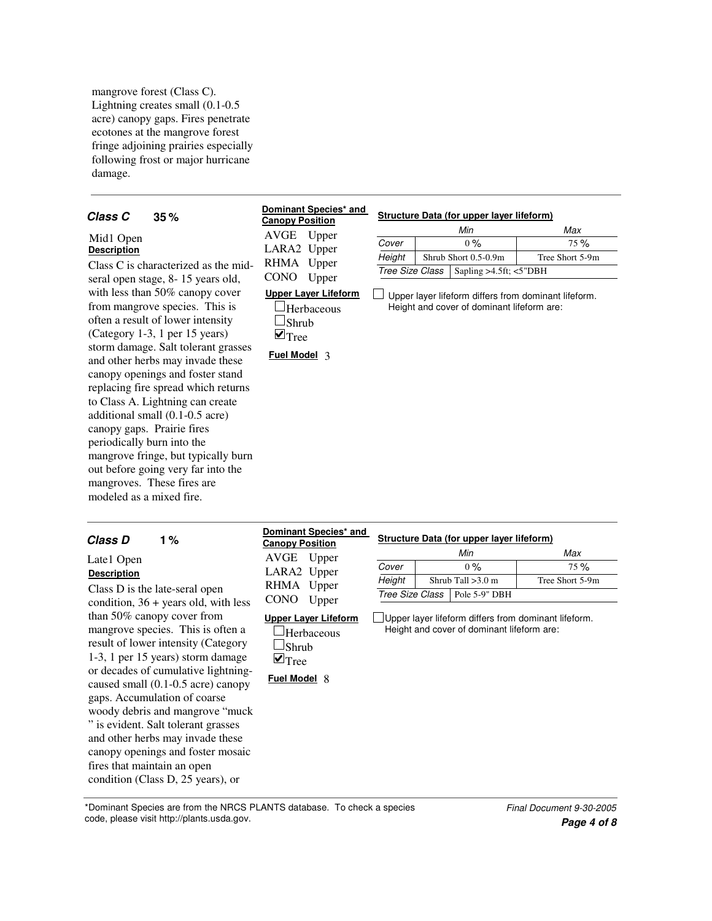mangrove forest (Class C). Lightning creates small (0.1-0.5 acre) canopy gaps. Fires penetrate ecotones at the mangrove forest fringe adjoining prairies especially following frost or major hurricane damage.

#### **35 Class C** 35% **C Community 35% Conserved Conserverse Conserved Conserverse Structure Data (for upper layer lifeform)**

#### Mid1 Open **Description**

Class C is characterized as the midseral open stage, 8- 15 years old, with less than 50% canopy cover from mangrove species. This is often a result of lower intensity (Category 1-3, 1 per 15 years) storm damage. Salt tolerant grasses and other herbs may invade these canopy openings and foster stand replacing fire spread which returns to Class A. Lightning can create additional small (0.1-0.5 acre) canopy gaps. Prairie fires periodically burn into the mangrove fringe, but typically burn out before going very far into the mangroves. These fires are modeled as a mixed fire.

#### **Dominant Species\* and Canopy Position**

LARA2 Upper RHMA Upper CONO Upper

AVGE Upper

| Min    |  |                                               | Max             |  |  |  |
|--------|--|-----------------------------------------------|-----------------|--|--|--|
| Cover  |  | $0\%$                                         | 75%             |  |  |  |
| Height |  | Shrub Short 0.5-0.9m                          | Tree Short 5-9m |  |  |  |
|        |  | Tree Size Class   Sapling >4.5ft; $\lt$ 5"DBH |                 |  |  |  |

#### **Upper Layer Lifeform**

 $\Box$ Herbaceous  $\Box$ Shrub  $\blacksquare$  Tree

**Fuel Model** 3

 $\perp$ Upper layer lifeform differs from dominant lifeform. Height and cover of dominant lifeform are:

**1** Class D is the late-seral open condition, 36 + years old, with less than 50% canopy cover from mangrove species. This is often a result of lower intensity (Category 1-3, 1 per 15 years) storm damage or decades of cumulative lightningcaused small (0.1-0.5 acre) canopy gaps. Accumulation of coarse woody debris and mangrove "muck " is evident. Salt tolerant grasses and other herbs may invade these canopy openings and foster mosaic fires that maintain an open condition (Class D, 25 years), or Late1 Open **Description Upper Layer Lifeform Herbaceous**  $\square$ Shrub  $\blacksquare$  Tree *Tree Size Class* Pole 5-9" DBH **Fuel Model** 8 *Cover* 1 0 % 1 75 Shrub Tall >3.0 m Tree Short 5-9m *Min Max*  $\frac{0\%}{0\%}$  75 % *Height* Upper layer lifeform differs from dominant lifeform. Height and cover of dominant lifeform are: *Class D* **1% <b>Community** *Community Conserved Conserved Structure Data (for upper layer lifeform)* AVGE Upper LARA2 Upper RHMA Upper CONO Upper **Dominant Species\* and Canopy Position**

\*Dominant Species are from the NRCS PLANTS database. To check a species code, please visit http://plants.usda.gov.

*Page 4 of 8 Final Document 9-30-2005*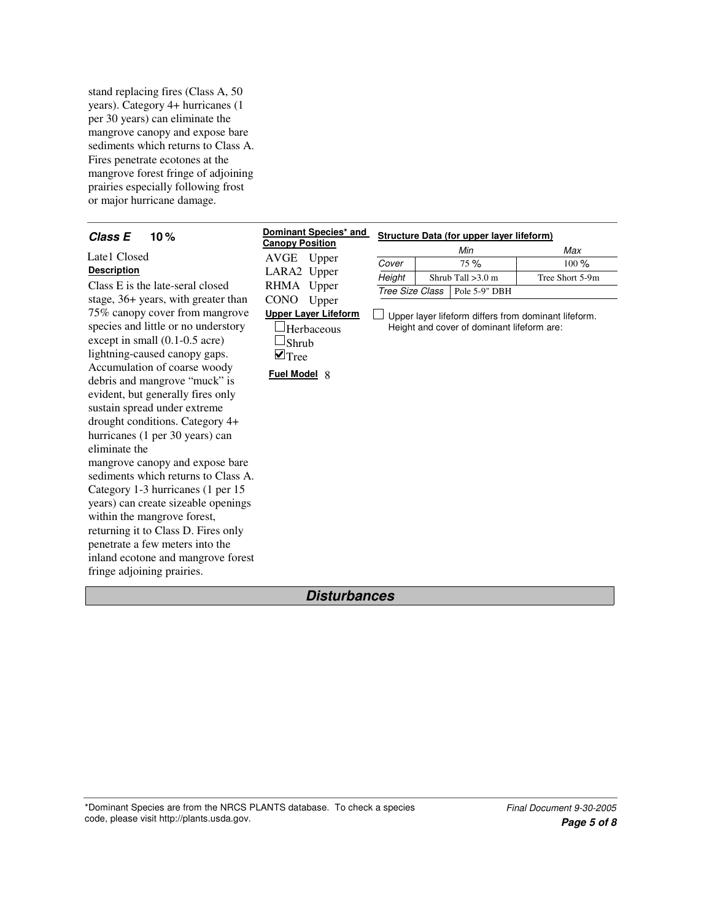stand replacing fires (Class A, 50 years). Category 4+ hurricanes (1 per 30 years) can eliminate the mangrove canopy and expose bare sediments which returns to Class A. Fires penetrate ecotones at the mangrove forest fringe of adjoining prairies especially following frost or major hurricane damage.

| Class E<br>10%                      | Dominant Species* and       | <b>Structure Data (for upper layer lifeform)</b>     |                                         |                                            |                 |  |  |  |
|-------------------------------------|-----------------------------|------------------------------------------------------|-----------------------------------------|--------------------------------------------|-----------------|--|--|--|
|                                     | <b>Canopy Position</b>      |                                                      |                                         | Min                                        | Max             |  |  |  |
| Late1 Closed                        | Upper<br>AVGE               | Cover                                                | 75%                                     |                                            | 100%            |  |  |  |
| <b>Description</b>                  | LARA2 Upper                 | Height                                               |                                         | Shrub Tall $>3.0$ m                        | Tree Short 5-9m |  |  |  |
| Class E is the late-seral closed    | RHMA Upper                  |                                                      | <b>Tree Size Class</b><br>Pole 5-9" DBH |                                            |                 |  |  |  |
| stage, 36+ years, with greater than | <b>CONO</b><br>Upper        |                                                      |                                         |                                            |                 |  |  |  |
| 75% canopy cover from mangrove      | <b>Upper Layer Lifeform</b> | Upper layer lifeform differs from dominant lifeform. |                                         |                                            |                 |  |  |  |
| species and little or no understory | Herbaceous                  |                                                      |                                         | Height and cover of dominant lifeform are: |                 |  |  |  |
| except in small $(0.1\n-0.5$ acre)  | Shrub                       |                                                      |                                         |                                            |                 |  |  |  |
| lightning-caused canopy gaps.       | $\mathbf{v}_{\text{Tree}}$  |                                                      |                                         |                                            |                 |  |  |  |
| Accumulation of coarse woody        | <b>Fuel Model 8</b>         |                                                      |                                         |                                            |                 |  |  |  |
| debris and mangrove "muck" is       |                             |                                                      |                                         |                                            |                 |  |  |  |
| evident, but generally fires only   |                             |                                                      |                                         |                                            |                 |  |  |  |
| sustain spread under extreme        |                             |                                                      |                                         |                                            |                 |  |  |  |
| drought conditions. Category 4+     |                             |                                                      |                                         |                                            |                 |  |  |  |
| hurricanes (1 per 30 years) can     |                             |                                                      |                                         |                                            |                 |  |  |  |
| eliminate the                       |                             |                                                      |                                         |                                            |                 |  |  |  |
| mangrove canopy and expose bare     |                             |                                                      |                                         |                                            |                 |  |  |  |
| sediments which returns to Class A. |                             |                                                      |                                         |                                            |                 |  |  |  |
| Category 1-3 hurricanes (1 per 15   |                             |                                                      |                                         |                                            |                 |  |  |  |
| years) can create sizeable openings |                             |                                                      |                                         |                                            |                 |  |  |  |
| within the mangrove forest,         |                             |                                                      |                                         |                                            |                 |  |  |  |
| returning it to Class D. Fires only |                             |                                                      |                                         |                                            |                 |  |  |  |
| penetrate a few meters into the     |                             |                                                      |                                         |                                            |                 |  |  |  |
| inland ecotone and mangrove forest  |                             |                                                      |                                         |                                            |                 |  |  |  |
| fringe adjoining prairies.          |                             |                                                      |                                         |                                            |                 |  |  |  |

# *Disturbances*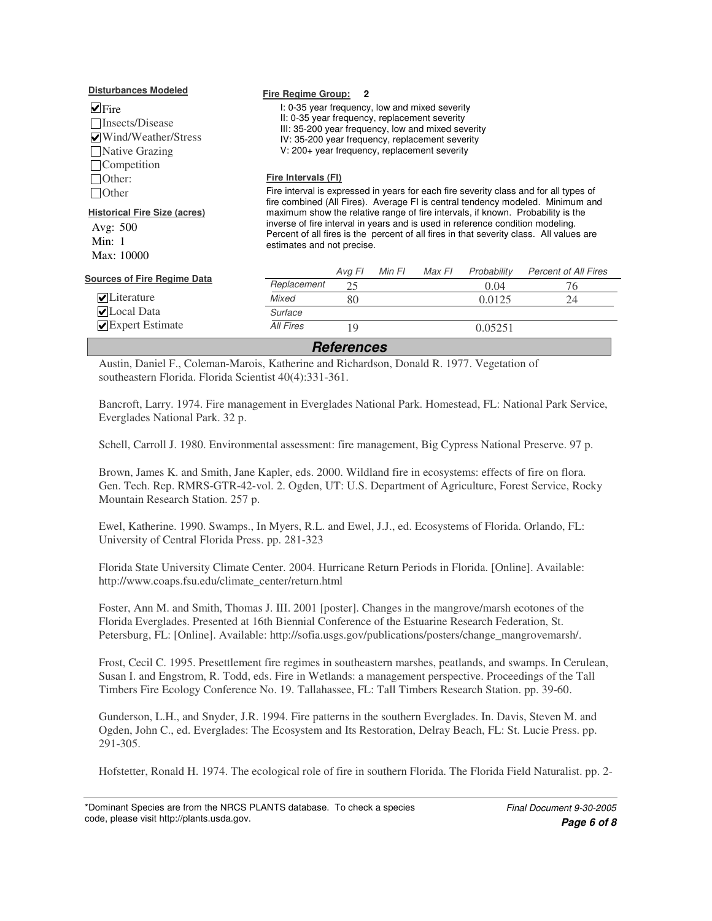| <b>Disturbances Modeled</b>                                                              | Fire Regime Group:                                                                                                                                                                                                                                                                                                                                                           | $\overline{\mathbf{2}}$ |        |        |             |                             |  |
|------------------------------------------------------------------------------------------|------------------------------------------------------------------------------------------------------------------------------------------------------------------------------------------------------------------------------------------------------------------------------------------------------------------------------------------------------------------------------|-------------------------|--------|--------|-------------|-----------------------------|--|
| $\vee$ Fire<br>□Insects/Disease<br>√Wind/Weather/Stress<br>Native Grazing<br>Competition | I: 0-35 year frequency, low and mixed severity<br>II: 0-35 year frequency, replacement severity<br>III: 35-200 year frequency, low and mixed severity<br>IV: 35-200 year frequency, replacement severity<br>V: 200+ year frequency, replacement severity                                                                                                                     |                         |        |        |             |                             |  |
| Other:                                                                                   | Fire Intervals (FI)                                                                                                                                                                                                                                                                                                                                                          |                         |        |        |             |                             |  |
| <b>Other</b>                                                                             | Fire interval is expressed in years for each fire severity class and for all types of                                                                                                                                                                                                                                                                                        |                         |        |        |             |                             |  |
| <b>Historical Fire Size (acres)</b><br>Avg: 500<br>Min: $1$<br>Max: 10000                | fire combined (All Fires). Average FI is central tendency modeled. Minimum and<br>maximum show the relative range of fire intervals, if known. Probability is the<br>inverse of fire interval in years and is used in reference condition modeling.<br>Percent of all fires is the percent of all fires in that severity class. All values are<br>estimates and not precise. |                         |        |        |             |                             |  |
| <b>Sources of Fire Regime Data</b>                                                       |                                                                                                                                                                                                                                                                                                                                                                              | Avg FI                  | Min FI | Max FI | Probability | <b>Percent of All Fires</b> |  |
|                                                                                          | Replacement                                                                                                                                                                                                                                                                                                                                                                  | 25                      |        |        | 0.04        | 76                          |  |
| $\blacktriangleright$ Literature                                                         | Mixed                                                                                                                                                                                                                                                                                                                                                                        | 80                      |        |        | 0.0125      | 24                          |  |
| $\nabla$ Local Data                                                                      | Surface                                                                                                                                                                                                                                                                                                                                                                      |                         |        |        |             |                             |  |
| $\blacktriangleright$ Expert Estimate                                                    | All Fires                                                                                                                                                                                                                                                                                                                                                                    | 19                      |        |        | 0.05251     |                             |  |
| <b>References</b>                                                                        |                                                                                                                                                                                                                                                                                                                                                                              |                         |        |        |             |                             |  |

Austin, Daniel F., Coleman-Marois, Katherine and Richardson, Donald R. 1977. Vegetation of southeastern Florida. Florida Scientist 40(4):331-361.

Bancroft, Larry. 1974. Fire management in Everglades National Park. Homestead, FL: National Park Service, Everglades National Park. 32 p.

Schell, Carroll J. 1980. Environmental assessment: fire management, Big Cypress National Preserve. 97 p.

Brown, James K. and Smith, Jane Kapler, eds. 2000. Wildland fire in ecosystems: effects of fire on flora. Gen. Tech. Rep. RMRS-GTR-42-vol. 2. Ogden, UT: U.S. Department of Agriculture, Forest Service, Rocky Mountain Research Station. 257 p.

Ewel, Katherine. 1990. Swamps., In Myers, R.L. and Ewel, J.J., ed. Ecosystems of Florida. Orlando, FL: University of Central Florida Press. pp. 281-323

Florida State University Climate Center. 2004. Hurricane Return Periods in Florida. [Online]. Available: http://www.coaps.fsu.edu/climate\_center/return.html

Foster, Ann M. and Smith, Thomas J. III. 2001 [poster]. Changes in the mangrove/marsh ecotones of the Florida Everglades. Presented at 16th Biennial Conference of the Estuarine Research Federation, St. Petersburg, FL: [Online]. Available: http://sofia.usgs.gov/publications/posters/change\_mangrovemarsh/.

Frost, Cecil C. 1995. Presettlement fire regimes in southeastern marshes, peatlands, and swamps. In Cerulean, Susan I. and Engstrom, R. Todd, eds. Fire in Wetlands: a management perspective. Proceedings of the Tall Timbers Fire Ecology Conference No. 19. Tallahassee, FL: Tall Timbers Research Station. pp. 39-60.

Gunderson, L.H., and Snyder, J.R. 1994. Fire patterns in the southern Everglades. In. Davis, Steven M. and Ogden, John C., ed. Everglades: The Ecosystem and Its Restoration, Delray Beach, FL: St. Lucie Press. pp. 291-305.

Hofstetter, Ronald H. 1974. The ecological role of fire in southern Florida. The Florida Field Naturalist. pp. 2-

<sup>\*</sup>Dominant Species are from the NRCS PLANTS database. To check a species code, please visit http://plants.usda.gov.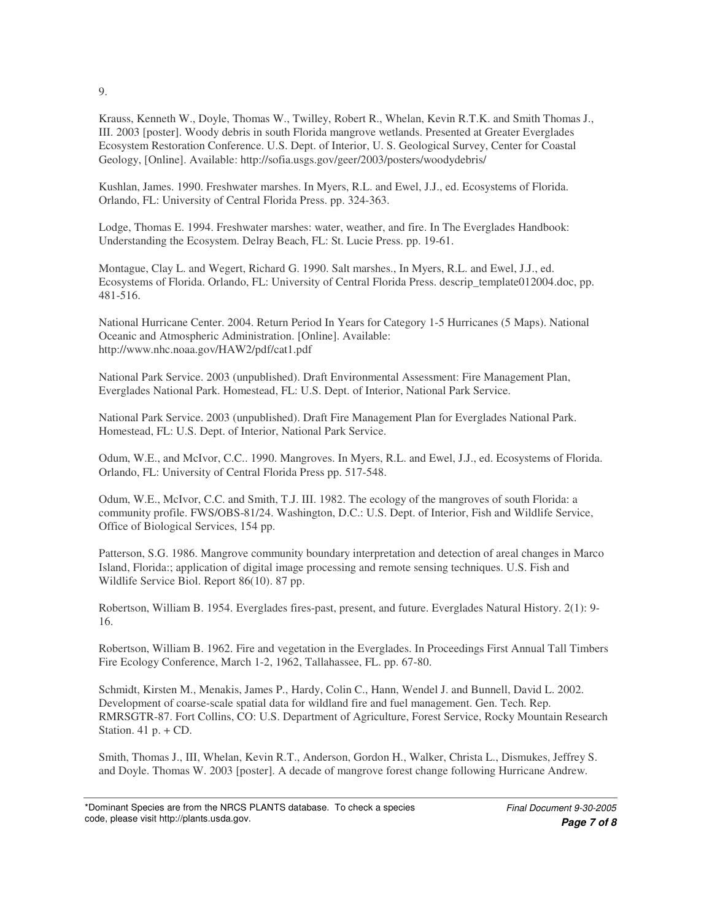Krauss, Kenneth W., Doyle, Thomas W., Twilley, Robert R., Whelan, Kevin R.T.K. and Smith Thomas J., III. 2003 [poster]. Woody debris in south Florida mangrove wetlands. Presented at Greater Everglades Ecosystem Restoration Conference. U.S. Dept. of Interior, U. S. Geological Survey, Center for Coastal Geology, [Online]. Available: http://sofia.usgs.gov/geer/2003/posters/woodydebris/

Kushlan, James. 1990. Freshwater marshes. In Myers, R.L. and Ewel, J.J., ed. Ecosystems of Florida. Orlando, FL: University of Central Florida Press. pp. 324-363.

Lodge, Thomas E. 1994. Freshwater marshes: water, weather, and fire. In The Everglades Handbook: Understanding the Ecosystem. Delray Beach, FL: St. Lucie Press. pp. 19-61.

Montague, Clay L. and Wegert, Richard G. 1990. Salt marshes., In Myers, R.L. and Ewel, J.J., ed. Ecosystems of Florida. Orlando, FL: University of Central Florida Press. descrip\_template012004.doc, pp. 481-516.

National Hurricane Center. 2004. Return Period In Years for Category 1-5 Hurricanes (5 Maps). National Oceanic and Atmospheric Administration. [Online]. Available: http://www.nhc.noaa.gov/HAW2/pdf/cat1.pdf

National Park Service. 2003 (unpublished). Draft Environmental Assessment: Fire Management Plan, Everglades National Park. Homestead, FL: U.S. Dept. of Interior, National Park Service.

National Park Service. 2003 (unpublished). Draft Fire Management Plan for Everglades National Park. Homestead, FL: U.S. Dept. of Interior, National Park Service.

Odum, W.E., and McIvor, C.C.. 1990. Mangroves. In Myers, R.L. and Ewel, J.J., ed. Ecosystems of Florida. Orlando, FL: University of Central Florida Press pp. 517-548.

Odum, W.E., McIvor, C.C. and Smith, T.J. III. 1982. The ecology of the mangroves of south Florida: a community profile. FWS/OBS-81/24. Washington, D.C.: U.S. Dept. of Interior, Fish and Wildlife Service, Office of Biological Services, 154 pp.

Patterson, S.G. 1986. Mangrove community boundary interpretation and detection of areal changes in Marco Island, Florida:; application of digital image processing and remote sensing techniques. U.S. Fish and Wildlife Service Biol. Report 86(10). 87 pp.

Robertson, William B. 1954. Everglades fires-past, present, and future. Everglades Natural History. 2(1): 9- 16.

Robertson, William B. 1962. Fire and vegetation in the Everglades. In Proceedings First Annual Tall Timbers Fire Ecology Conference, March 1-2, 1962, Tallahassee, FL. pp. 67-80.

Schmidt, Kirsten M., Menakis, James P., Hardy, Colin C., Hann, Wendel J. and Bunnell, David L. 2002. Development of coarse-scale spatial data for wildland fire and fuel management. Gen. Tech. Rep. RMRSGTR-87. Fort Collins, CO: U.S. Department of Agriculture, Forest Service, Rocky Mountain Research Station.  $41 p. + CD$ .

Smith, Thomas J., III, Whelan, Kevin R.T., Anderson, Gordon H., Walker, Christa L., Dismukes, Jeffrey S. and Doyle. Thomas W. 2003 [poster]. A decade of mangrove forest change following Hurricane Andrew.

9.

<sup>\*</sup>Dominant Species are from the NRCS PLANTS database. To check a species code, please visit http://plants.usda.gov.